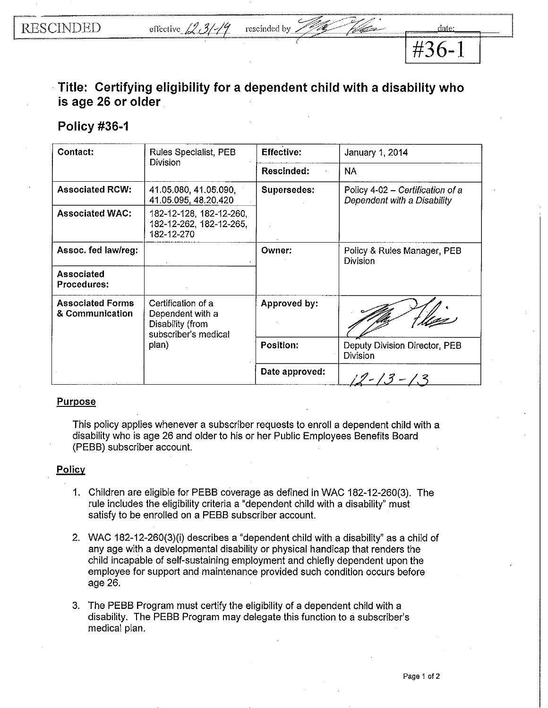**#36-1** 

## **Title: Certifying eligibility for a dependent child with a disability who is age 26 or older**

by  $\mathcal{P}_{\mathcal{A}}$  then

## **Policy #36-1**

| Contact:                                   | Rules Specialist, PEB<br><b>Division</b>                                                    | <b>Effective:</b>  | January 1, 2014                                                 |
|--------------------------------------------|---------------------------------------------------------------------------------------------|--------------------|-----------------------------------------------------------------|
|                                            |                                                                                             | Rescinded:         | <b>NA</b>                                                       |
| <b>Associated RCW:</b>                     | 41.05.080, 41.05.090,<br>41.05.095, 48.20.420                                               | <b>Supersedes:</b> | Policy 4-02 - Certification of a<br>Dependent with a Disability |
| <b>Associated WAC:</b>                     | 182-12-128, 182-12-260,<br>182-12-262, 182-12-265,<br>182-12-270                            |                    |                                                                 |
| Assoc. fed law/reg:                        |                                                                                             | Owner:             | Policy & Rules Manager, PEB<br><b>Division</b>                  |
| Associated<br><b>Procedures:</b>           |                                                                                             |                    |                                                                 |
| <b>Associated Forms</b><br>& Communication | Certification of a<br>Dependent with a<br>Disability (from<br>subscriber's medical<br>plan) | Approved by:       |                                                                 |
|                                            |                                                                                             | <b>Position:</b>   | Deputy Division Director, PEB<br><b>Division</b>                |
|                                            |                                                                                             | Date approved:     |                                                                 |

## Purpose

This policy applies whenever a subscriber requests to enroll a dependent child with a disability who is age 26 and older to his or her Public Employees Benefits Board (PEBB) subscriber account.

## Policy

- 1. Children are eligible for PEBB coverage as defined in WAC 182-12-260(3). The rule includes the eligibility criteria a "dependent child with a disability" must satisfy to be enrolled on a PEBB subscriber account.
- 2. WAC 182-12-260(3)(i) describes a "dependent child with a disability" as a child of any age with a developmental disability or physical handicap that renders the child incapable of self-sustaining employment and chiefly dependent upon the employee for support and maintenance provided such condition occurs before age 26.
- 3. The PEBB Program must certify the eligibility of a dependent child with a disability. The PEBB Program may delegate this function to a subscriber's medical plan.